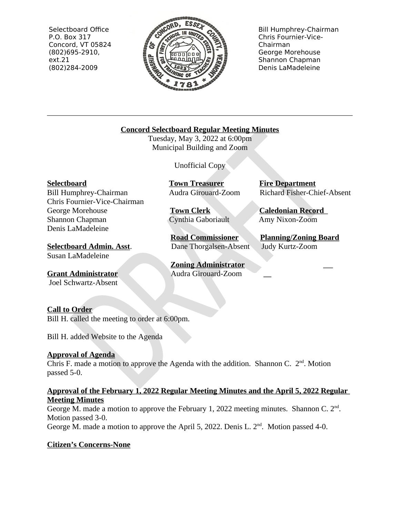Selectboard Office P.O. Box 317 Concord, VT 05824 (802)695-2910, ext.21 (802)284-2009



Bill Humphrey-Chairman Chris Fournier-Vice-Chairman George Morehouse Shannon Chapman Denis LaMadeleine

## **Concord Selectboard Regular Meeting Minutes**

Tuesday, May 3, 2022 at 6:00pm Municipal Building and Zoom

Unofficial Copy

Bill Humphrey-Chairman Audra Girouard-Zoom Richard Fisher-Chief-Absent Chris Fournier-Vice-Chairman George Morehouse **Town Clerk Caledonian Record**<br>
Shannon Chapman **Cynthia Gaboriault** Amy Nixon-Zoom Denis LaMadeleine

**Selectboard Admin. Asst**. Dane Thorgalsen-Absent Judy Kurtz-Zoom Susan LaMadeleine

**Grant Administrator Audra Girouard-Zoom** Joel Schwartz-Absent

**Selectboard Town Treasurer Fire Department** 

Cynthia Gaboriault

**Road Commissioner Planning/Zoning Board**

**Zoning Administrator**

## **Call to Order**

Bill H. called the meeting to order at 6:00pm.

Bill H. added Website to the Agenda

## **Approval of Agenda**

Chris F. made a motion to approve the Agenda with the addition. Shannon C.  $2<sup>nd</sup>$ . Motion passed 5-0.

## **Approval of the February 1, 2022 Regular Meeting Minutes and the April 5, 2022 Regular Meeting Minutes**

George M. made a motion to approve the February 1, 2022 meeting minutes. Shannon C.  $2<sup>nd</sup>$ . Motion passed 3-0.

George M. made a motion to approve the April 5, 2022. Denis L.  $2<sup>nd</sup>$ . Motion passed 4-0.

# **Citizen's Concerns-None**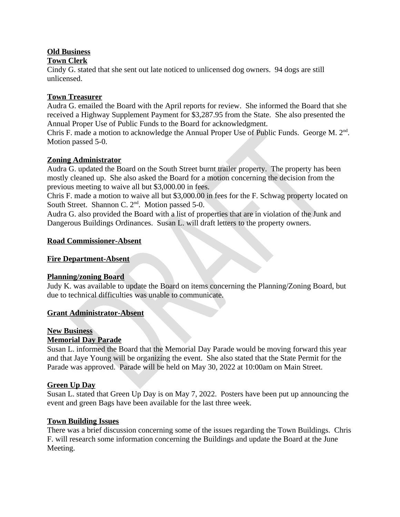## **Old Business**

### **Town Clerk**

Cindy G. stated that she sent out late noticed to unlicensed dog owners. 94 dogs are still unlicensed.

#### **Town Treasurer**

Audra G. emailed the Board with the April reports for review. She informed the Board that she received a Highway Supplement Payment for \$3,287.95 from the State. She also presented the Annual Proper Use of Public Funds to the Board for acknowledgment.

Chris F. made a motion to acknowledge the Annual Proper Use of Public Funds. George M.  $2<sup>nd</sup>$ . Motion passed 5-0.

#### **Zoning Administrator**

Audra G. updated the Board on the South Street burnt trailer property. The property has been mostly cleaned up. She also asked the Board for a motion concerning the decision from the previous meeting to waive all but \$3,000.00 in fees.

Chris F. made a motion to waive all but \$3,000.00 in fees for the F. Schwag property located on South Street. Shannon C. 2<sup>nd</sup>. Motion passed 5-0.

Audra G. also provided the Board with a list of properties that are in violation of the Junk and Dangerous Buildings Ordinances. Susan L. will draft letters to the property owners.

#### **Road Commissioner-Absent**

#### **Fire Department-Absent**

#### **Planning/zoning Board**

Judy K. was available to update the Board on items concerning the Planning/Zoning Board, but due to technical difficulties was unable to communicate.

#### **Grant Administrator-Absent**

#### **New Business**

#### **Memorial Day Parade**

Susan L. informed the Board that the Memorial Day Parade would be moving forward this year and that Jaye Young will be organizing the event. She also stated that the State Permit for the Parade was approved. Parade will be held on May 30, 2022 at 10:00am on Main Street.

#### **Green Up Day**

Susan L. stated that Green Up Day is on May 7, 2022. Posters have been put up announcing the event and green Bags have been available for the last three week.

#### **Town Building Issues**

There was a brief discussion concerning some of the issues regarding the Town Buildings. Chris F. will research some information concerning the Buildings and update the Board at the June Meeting.